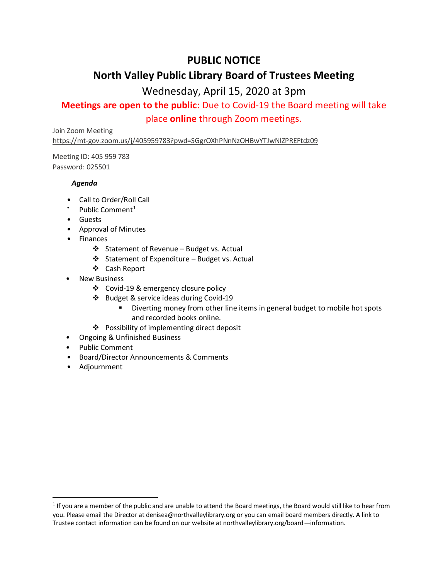# **PUBLIC NOTICE**

# **North Valley Public Library Board of Trustees Meeting**

# Wednesday, April 15, 2020 at 3pm

## **Meetings are open to the public:** Due to Covid-19 the Board meeting will take

### place **online** through Zoom meetings.

Join Zoom Meeting

<https://mt-gov.zoom.us/j/405959783?pwd=SGgrOXhPNnNzOHBwYTJwNlZPREFtdz09>

Meeting ID: 405 959 783 Password: 025501

### *Agenda*

- Call to Order/Roll Call
- Public Comment<sup>1</sup>
- Guests
- Approval of Minutes
- Finances
	- ❖ Statement of Revenue Budget vs. Actual
	- Statement of Expenditure Budget vs. Actual
	- Cash Report
- **New Business** 
	- Covid-19 & emergency closure policy
	- ❖ Budget & service ideas during Covid-19
		- Diverting money from other line items in general budget to mobile hot spots and recorded books online.
	- ❖ Possibility of implementing direct deposit
- Ongoing & Unfinished Business
- Public Comment
- Board/Director Announcements & Comments
- Adjournment

**.** 

 $1$  If you are a member of the public and are unable to attend the Board meetings, the Board would still like to hear from you. Please email the Director at denisea@northvalleylibrary.org or you can email board members directly. A link to Trustee contact information can be found on our website at northvalleylibrary.org/board—information.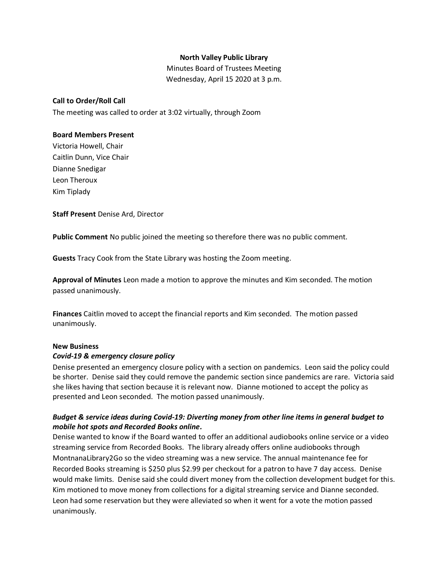#### **North Valley Public Library**

Minutes Board of Trustees Meeting Wednesday, April 15 2020 at 3 p.m.

#### **Call to Order/Roll Call**

The meeting was called to order at 3:02 virtually, through Zoom

#### **Board Members Present**

Victoria Howell, Chair Caitlin Dunn, Vice Chair Dianne Snedigar Leon Theroux Kim Tiplady

**Staff Present** Denise Ard, Director

**Public Comment** No public joined the meeting so therefore there was no public comment.

**Guests** Tracy Cook from the State Library was hosting the Zoom meeting.

**Approval of Minutes** Leon made a motion to approve the minutes and Kim seconded. The motion passed unanimously.

**Finances** Caitlin moved to accept the financial reports and Kim seconded. The motion passed unanimously.

#### **New Business**

#### *Covid-19 & emergency closure policy*

Denise presented an emergency closure policy with a section on pandemics. Leon said the policy could be shorter. Denise said they could remove the pandemic section since pandemics are rare. Victoria said she likes having that section because it is relevant now. Dianne motioned to accept the policy as presented and Leon seconded. The motion passed unanimously.

#### *Budget & service ideas during Covid-19: Diverting money from other line items in general budget to mobile hot spots and Recorded Books online.*

Denise wanted to know if the Board wanted to offer an additional audiobooks online service or a video streaming service from Recorded Books. The library already offers online audiobooks through MontnanaLibrary2Go so the video streaming was a new service. The annual maintenance fee for Recorded Books streaming is \$250 plus \$2.99 per checkout for a patron to have 7 day access. Denise would make limits. Denise said she could divert money from the collection development budget for this. Kim motioned to move money from collections for a digital streaming service and Dianne seconded. Leon had some reservation but they were alleviated so when it went for a vote the motion passed unanimously.